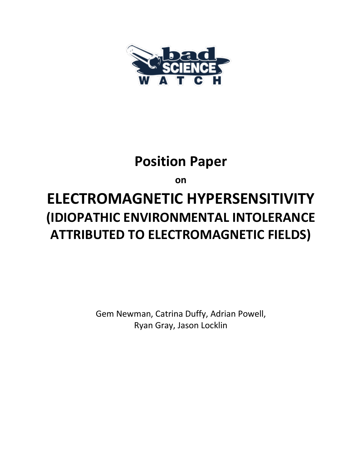

# **Position Paper**

**on**

# **ELECTROMAGNETIC HYPERSENSITIVITY (IDIOPATHIC ENVIRONMENTAL INTOLERANCE ATTRIBUTED TO ELECTROMAGNETIC FIELDS)**

Gem Newman, Catrina Duffy, Adrian Powell, Ryan Gray, Jason Locklin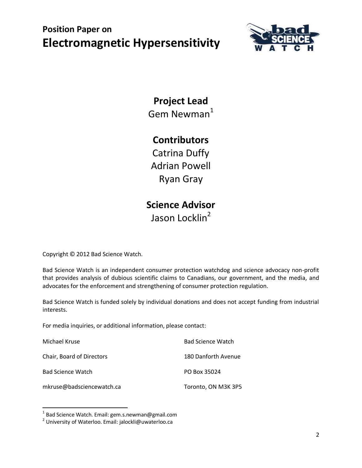

## **Project Lead**

Gem Newman $1$ 

#### **Contributors**

Catrina Duffy Adrian Powell Ryan Gray

#### **Science Advisor** Jason Locklin<sup>2</sup>

Copyright © 2012 Bad Science Watch.

Bad Science Watch is an independent consumer protection watchdog and science advocacy non-profit that provides analysis of dubious scientific claims to Canadians, our government, and the media, and advocates for the enforcement and strengthening of consumer protection regulation.

Bad Science Watch is funded solely by individual donations and does not accept funding from industrial interests.

For media inquiries, or additional information, please contact:

| Michael Kruse             | <b>Bad Science Watch</b> |
|---------------------------|--------------------------|
| Chair, Board of Directors | 180 Danforth Avenue      |
| <b>Bad Science Watch</b>  | PO Box 35024             |
| mkruse@badsciencewatch.ca | Toronto, ON M3K 3P5      |

 1 Bad Science Watch. Email: gem.s.newman@gmail.com

<sup>&</sup>lt;sup>2</sup> University of Waterloo. Email: jalockli@uwaterloo.ca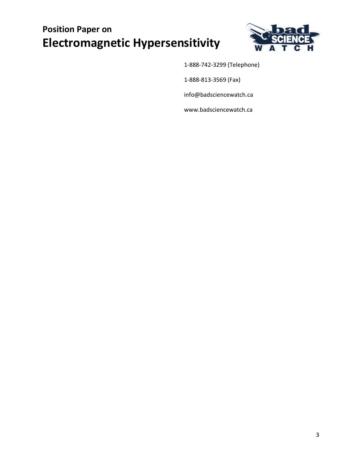

1-888-742-3299 (Telephone)

1-888-813-3569 (Fax)

info@badsciencewatch.ca

www.badsciencewatch.ca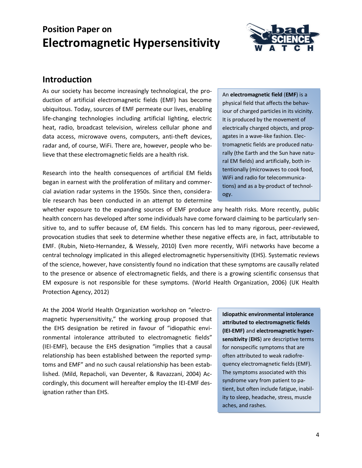

#### **Introduction**

As our society has become increasingly technological, the production of artificial electromagnetic fields (EMF) has become ubiquitous. Today, sources of EMF permeate our lives, enabling life-changing technologies including artificial lighting, electric heat, radio, broadcast television, wireless cellular phone and data access, microwave ovens, computers, anti-theft devices, radar and, of course, WiFi. There are, however, people who believe that these electromagnetic fields are a health risk.

Research into the health consequences of artificial EM fields began in earnest with the proliferation of military and commercial aviation radar systems in the 1950s. Since then, considerable research has been conducted in an attempt to determine An **electromagnetic field** (**EMF**) is a physical field that affects the behaviour of charged particles in its vicinity. It is produced by the movement of electrically charged objects, and propagates in a wave-like fashion. Electromagnetic fields are produced naturally (the Earth and the Sun have natural EM fields) and artificially, both intentionally (microwaves to cook food, WiFi and radio for telecommunications) and as a by-product of technology.

whether exposure to the expanding sources of EMF produce any health risks. More recently, public health concern has developed after some individuals have come forward claiming to be particularly sensitive to, and to suffer because of, EM fields. This concern has led to many rigorous, peer-reviewed, provocation studies that seek to determine whether these negative effects are, in fact, attributable to EMF. (Rubin, Nieto-Hernandez, & Wessely, 2010) Even more recently, WiFi networks have become a central technology implicated in this alleged electromagnetic hypersensitivity (EHS). Systematic reviews of the science, however, have consistently found no indication that these symptoms are causally related to the presence or absence of electromagnetic fields, and there is a growing scientific consensus that EM exposure is not responsible for these symptoms. (World Health Organization, 2006) (UK Health Protection Agency, 2012)

At the 2004 World Health Organization workshop on "electromagnetic hypersensitivity," the working group proposed that the EHS designation be retired in favour of "idiopathic environmental intolerance attributed to electromagnetic fields" (IEI-EMF), because the EHS designation "implies that a causal relationship has been established between the reported symptoms and EMF" and no such causal relationship has been established. (Mild, Repacholi, van Deventer, & Ravazzani, 2004) Accordingly, this document will hereafter employ the IEI-EMF designation rather than EHS.

**Idiopathic environmental intolerance attributed to electromagnetic fields (IEI-EMF)** and **electromagnetic hypersensitivity** (**EHS**) are descriptive terms for nonspecific symptoms that are often attributed to weak radiofrequency electromagnetic fields (EMF). The symptoms associated with this syndrome vary from patient to patient, but often include fatigue, inability to sleep, headache, stress, muscle aches, and rashes.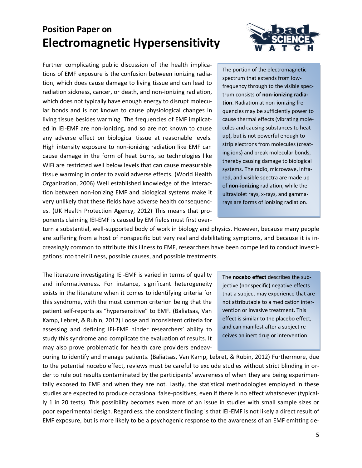Further complicating public discussion of the health implications of EMF exposure is the confusion between ionizing radiation, which does cause damage to living tissue and can lead to radiation sickness, cancer, or death, and non-ionizing radiation, which does not typically have enough energy to disrupt molecular bonds and is not known to cause physiological changes in living tissue besides warming. The frequencies of EMF implicated in IEI-EMF are non-ionizing, and so are not known to cause any adverse effect on biological tissue at reasonable levels. High intensity exposure to non-ionizing radiation like EMF can cause damage in the form of heat burns, so technologies like WiFi are restricted well below levels that can cause measurable tissue warming in order to avoid adverse effects. (World Health Organization, 2006) Well established knowledge of the interaction between non-ionizing EMF and biological systems make it very unlikely that these fields have adverse health consequences. (UK Health Protection Agency, 2012) This means that proponents claiming IEI-EMF is caused by EM fields must first over-



The portion of the electromagnetic spectrum that extends from lowfrequency through to the visible spectrum consists of **non-ionizing radiation**. Radiation at non-ionizing frequencies may be sufficiently power to cause thermal effects (vibrating molecules and causing substances to heat up), but is not powerful enough to strip electrons from molecules (creating ions) and break molecular bonds, thereby causing damage to biological systems. The radio, microwave, infrared, and visible spectra are made up of **non-ionizing** radiation, while the ultraviolet rays, x-rays, and gammarays are forms of ionizing radiation.

turn a substantial, well-supported body of work in biology and physics. However, because many people are suffering from a host of nonspecific but very real and debilitating symptoms, and because it is increasingly common to attribute this illness to EMF, researchers have been compelled to conduct investigations into their illness, possible causes, and possible treatments.

The literature investigating IEI-EMF is varied in terms of quality and informativeness. For instance, significant heterogeneity exists in the literature when it comes to identifying criteria for this syndrome, with the most common criterion being that the patient self-reports as "hypersensitive" to EMF. (Baliatsas, Van Kamp, Lebret, & Rubin, 2012) Loose and inconsistent criteria for assessing and defining IEI-EMF hinder researchers' ability to study this syndrome and complicate the evaluation of results. It may also prove problematic for health care providers endeav-

The **nocebo effect** describes the subjective (nonspecific) negative effects that a subject may experience that are not attributable to a medication intervention or invasive treatment. This effect is similar to the placebo effect, and can manifest after a subject receives an inert drug or intervention.

ouring to identify and manage patients. (Baliatsas, Van Kamp, Lebret, & Rubin, 2012) Furthermore, due to the potential nocebo effect, reviews must be careful to exclude studies without strict blinding in order to rule out results contaminated by the participants' awareness of when they are being experimentally exposed to EMF and when they are not. Lastly, the statistical methodologies employed in these studies are expected to produce occasional false-positives, even if there is no effect whatsoever (typically 1 in 20 tests). This possibility becomes even more of an issue in studies with small sample sizes or poor experimental design. Regardless, the consistent finding is that IEI-EMF is not likely a direct result of EMF exposure, but is more likely to be a psychogenic response to the awareness of an EMF emitting de-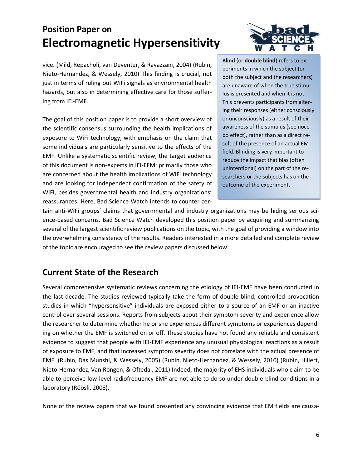vice. (Mild, Repacholi, van Deventer, & Ravazzani, 2004) (Rubin, Nieto-Hernandez, & Wessely, 2010) This finding is crucial, not just in terms of ruling out WiFi signals as environmental health hazards, but also in determining effective care for those suffering from IEI-EMF.

The goal of this position paper is to provide a short overview of the scientific consensus surrounding the health implications of exposure to WiFi technology, with emphasis on the claim that some individuals are particularly sensitive to the effects of the EMF. Unlike a systematic scientific review, the target audience of this document is non-experts in IEI-EFM: primarily those who are concerned about the health implications of WiFi technology and are looking for independent confirmation of the safety of WiFi, besides governmental health and industry organizations' reassurances. Here, Bad Science Watch intends to counter cer-



**Blind** (or **double blind**) refers to experiments in which the subject (or both the subject and the researchers) are unaware of when the true stimulus is presented and when it is not. This prevents participants from altering their responses (either consciously or unconsciously) as a result of their awareness of the stimulus (see nocebo effect), rather than as a direct result of the presence of an actual EM field. Blinding is very important to reduce the impact that bias (often unintentional) on the part of the researchers or the subjects has on the outcome of the experiment.

tain anti-WiFi groups' claims that governmental and industry organizations may be hiding serious science-based concerns. Bad Science Watch developed this position paper by acquiring and summarizing several of the largest scientific review publications on the topic, with the goal of providing a window into the overwhelming consistency of the results. Readers interested in a more detailed and complete review of the topic are encouraged to see the review papers discussed below.

#### **Current State of the Research**

Several comprehensive systematic reviews concerning the etiology of IEI-EMF have been conducted in the last decade. The studies reviewed typically take the form of double-blind, controlled provocation studies in which "hypersensitive" individuals are exposed either to a source of an EMF or an inactive control over several sessions. Reports from subjects about their symptom severity and experience allow the researcher to determine whether he or she experiences different symptoms or experiences depending on whether the EMF is switched on or off. These studies have not found any reliable and consistent evidence to suggest that people with IEI-EMF experience any unusual physiological reactions as a result of exposure to EMF, and that increased symptom severity does not correlate with the actual presence of EMF. (Rubin, Das Munshi, & Wessely, 2005) (Rubin, Nieto-Hernandez, & Wessely, 2010) (Rubin, Hillert, Nieto-Hernandez, Van Rongen, & Oftedal, 2011) Indeed, the majority of EHS individuals who claim to be able to perceive low-level radiofrequency EMF are not able to do so under double-blind conditions in a laboratory (Röösli, 2008).

None of the review papers that we found presented any convincing evidence that EM fields are causa-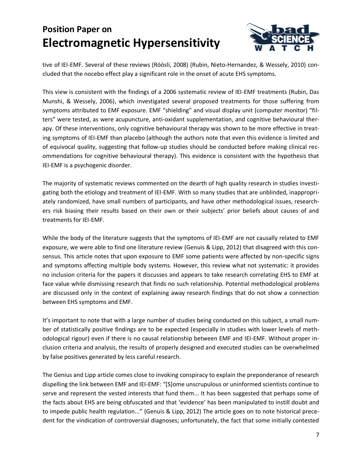

tive of IEI-EMF. Several of these reviews (Röösli, 2008) (Rubin, Nieto-Hernandez, & Wessely, 2010) concluded that the nocebo effect play a significant role in the onset of acute EHS symptoms.

This view is consistent with the findings of a 2006 systematic review of IEI-EMF treatments (Rubin, Das Munshi, & Wessely, 2006), which investigated several proposed treatments for those suffering from symptoms attributed to EMF exposure. EMF "shielding" and visual display unit (computer monitor) "filters" were tested, as were acupuncture, anti-oxidant supplementation, and cognitive behavioural therapy. Of these interventions, only cognitive behavioural therapy was shown to be more effective in treating symptoms of IEI-EMF than placebo (although the authors note that even this evidence is limited and of equivocal quality, suggesting that follow-up studies should be conducted before making clinical recommendations for cognitive behavioural therapy). This evidence is consistent with the hypothesis that IEI-EMF is a psychogenic disorder.

The majority of systematic reviews commented on the dearth of high quality research in studies investigating both the etiology and treatment of IEI-EMF. With so many studies that are unblinded, inappropriately randomized, have small numbers of participants, and have other methodological issues, researchers risk biasing their results based on their own or their subjects' prior beliefs about causes of and treatments for IEI-EMF.

While the body of the literature suggests that the symptoms of IEI-EMF are not causally related to EMF exposure, we were able to find one literature review (Genuis & Lipp, 2012) that disagreed with this consensus. This article notes that upon exposure to EMF some patients were affected by non-specific signs and symptoms affecting multiple body systems. However, this review what not systematic: it provides no inclusion criteria for the papers it discusses and appears to take research correlating EHS to EMF at face value while dismissing research that finds no such relationship. Potential methodological problems are discussed only in the context of explaining away research findings that do not show a connection between EHS symptoms and EMF.

It's important to note that with a large number of studies being conducted on this subject, a small number of statistically positive findings are to be expected (especially in studies with lower levels of methodological rigour) even if there is no causal relationship between EMF and IEI-EMF. Without proper inclusion criteria and analysis, the results of properly designed and executed studies can be overwhelmed by false positives generated by less careful research.

The Genius and Lipp article comes close to invoking conspiracy to explain the preponderance of research dispelling the link between EMF and IEI-EMF: "[S]ome unscrupulous or uninformed scientists continue to serve and represent the vested interests that fund them... It has been suggested that perhaps some of the facts about EHS are being obfuscated and that 'evidence' has been manipulated to instill doubt and to impede public health regulation..." (Genuis & Lipp, 2012) The article goes on to note historical precedent for the vindication of controversial diagnoses; unfortunately, the fact that some initially contested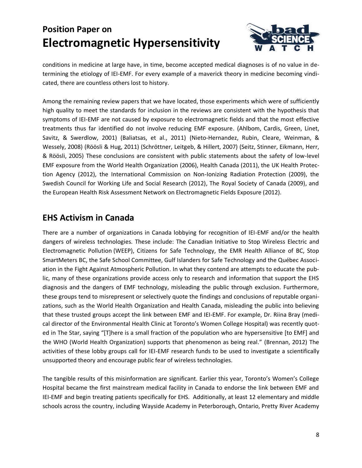

conditions in medicine at large have, in time, become accepted medical diagnoses is of no value in determining the etiology of IEI-EMF. For every example of a maverick theory in medicine becoming vindicated, there are countless others lost to history.

Among the remaining review papers that we have located, those experiments which were of sufficiently high quality to meet the standards for inclusion in the reviews are consistent with the hypothesis that symptoms of IEI-EMF are not caused by exposure to electromagnetic fields and that the most effective treatments thus far identified do not involve reducing EMF exposure. (Ahlbom, Cardis, Green, Linet, Savitz, & Swerdlow, 2001) (Baliatsas, et al., 2011) (Nieto-Hernandez, Rubin, Cleare, Weinman, & Wessely, 2008) (Röösli & Hug, 2011) (Schröttner, Leitgeb, & Hillert, 2007) (Seitz, Stinner, Eikmann, Herr, & Röösli, 2005) These conclusions are consistent with public statements about the safety of low-level EMF exposure from the World Health Organization (2006), Health Canada (2011), the UK Health Protection Agency (2012), the International Commission on Non-Ionizing Radiation Protection (2009), the Swedish Council for Working Life and Social Research (2012), The Royal Society of Canada (2009), and the European Health Risk Assessment Network on Electromagnetic Fields Exposure (2012).

#### **EHS Activism in Canada**

There are a number of organizations in Canada lobbying for recognition of IEI-EMF and/or the health dangers of wireless technologies. These include: The Canadian Initiative to Stop Wireless Electric and Electromagnetic Pollution (WEEP), Citizens for Safe Technology, the EMR Health Alliance of BC, Stop SmartMeters BC, the Safe School Committee, Gulf Islanders for Safe Technology and the Québec Association in the Fight Against Atmospheric Pollution. In what they contend are attempts to educate the public, many of these organizations provide access only to research and information that support the EHS diagnosis and the dangers of EMF technology, misleading the public through exclusion. Furthermore, these groups tend to misrepresent or selectively quote the findings and conclusions of reputable organizations, such as the World Health Organization and Health Canada, misleading the public into believing that these trusted groups accept the link between EMF and IEI-EMF. For example, Dr. Riina Bray (medical director of the Environmental Health Clinic at Toronto's Women College Hospital) was recently quoted in The Star, saying "[T]here is a small fraction of the population who are hypersensitive [to EMF] and the WHO (World Health Organization) supports that phenomenon as being real." (Brennan, 2012) The activities of these lobby groups call for IEI-EMF research funds to be used to investigate a scientifically unsupported theory and encourage public fear of wireless technologies.

The tangible results of this misinformation are significant. Earlier this year, Toronto's Women's College Hospital became the first mainstream medical facility in Canada to endorse the link between EMF and IEI-EMF and begin treating patients specifically for EHS. Additionally, at least 12 elementary and middle schools across the country, including Wayside Academy in Peterborough, Ontario, Pretty River Academy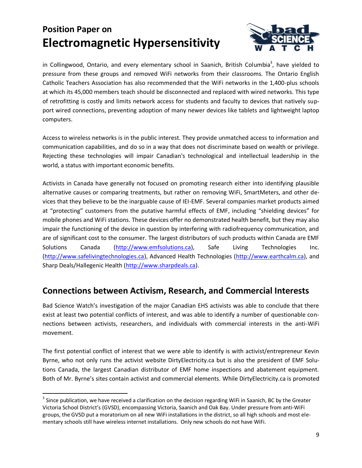

in Collingwood, Ontario, and every elementary school in Saanich, British Columbia<sup>3</sup>, have yielded to pressure from these groups and removed WiFi networks from their classrooms. The Ontario English Catholic Teachers Association has also recommended that the WiFi networks in the 1,400-plus schools at which its 45,000 members teach should be disconnected and replaced with wired networks. This type of retrofitting is costly and limits network access for students and faculty to devices that natively support wired connections, preventing adoption of many newer devices like tablets and lightweight laptop computers.

Access to wireless networks is in the public interest. They provide unmatched access to information and communication capabilities, and do so in a way that does not discriminate based on wealth or privilege. Rejecting these technologies will impair Canadian's technological and intellectual leadership in the world, a status with important economic benefits.

Activists in Canada have generally not focused on promoting research either into identifying plausible alternative causes or comparing treatments, but rather on removing WiFi, SmartMeters, and other devices that they believe to be the inarguable cause of IEI-EMF. Several companies market products aimed at "protecting" customers from the putative harmful effects of EMF, including "shielding devices" for mobile phones and WiFi stations. These devices offer no demonstrated health benefit, but they may also impair the functioning of the device in question by interfering with radiofrequency communication, and are of significant cost to the consumer. The largest distributors of such products within Canada are EMF Solutions Canada [\(http://www.emfsolutions.ca\)](http://www.emfsolutions.ca/), Safe Living Technologies Inc. [\(http://www.safelivingtechnologies.ca\)](http://www.safelivingtechnologies.ca/), Advanced Health Technologies [\(http://www.earthcalm.ca\)](http://www.earthcalm.ca/), and Sharp Deals/Hallegenic Health [\(http://www.sharpdeals.ca\)](http://www.sharpdeals.ca/).

#### **Connections between Activism, Research, and Commercial Interests**

Bad Science Watch's investigation of the major Canadian EHS activists was able to conclude that there exist at least two potential conflicts of interest, and was able to identify a number of questionable connections between activists, researchers, and individuals with commercial interests in the anti-WiFi movement.

The first potential conflict of interest that we were able to identify is with activist/entrepreneur Kevin Byrne, who not only runs the activist website DirtyElectricity.ca but is also the president of EMF Solutions Canada, the largest Canadian distributor of EMF home inspections and abatement equipment. Both of Mr. Byrne's sites contain activist and commercial elements. While DirtyElectricity.ca is promoted

 $\overline{\phantom{a}}$ 

 $^3$  Since publication, we have received a clarification on the decision regarding WiFi in Saanich, BC by the Greater Victoria School District's (GVSD), encompassing Victoria, Saanich and Oak Bay. Under pressure from anti-WiFi groups, the GVSD put a moratorium on all new WiFi installations in the district, so all high schools and most elementary schools still have wireless internet installations. Only new schools do not have WiFi.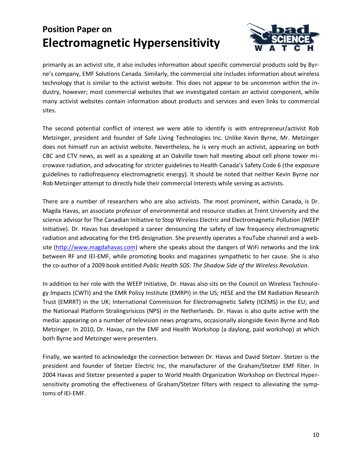

primarily as an activist site, it also includes information about specific commercial products sold by Byrne's company, EMF Solutions Canada. Similarly, the commercial site includes information about wireless technology that is similar to the activist website. This does not appear to be uncommon within the industry, however; most commercial websites that we investigated contain an activist component, while many activist websites contain information about products and services and even links to commercial sites.

The second potential conflict of interest we were able to identify is with entrepreneur/activist Rob Metzinger, president and founder of Safe Living Technologies Inc. Unlike Kevin Byrne, Mr. Metzinger does not himself run an activist website. Nevertheless, he is very much an activist, appearing on both CBC and CTV news, as well as a speaking at an Oakville town hall meeting about cell phone tower microwave radiation, and advocating for stricter guidelines to Health Canada's Safety Code 6 (the exposure guidelines to radiofrequency electromagnetic energy). It should be noted that neither Kevin Byrne nor Rob Metzinger attempt to directly hide their commercial interests while serving as activists.

There are a number of researchers who are also activists. The most prominent, within Canada, is Dr. Magda Havas, an associate professor of environmental and resource studies at Trent University and the science advisor for The Canadian Initiative to Stop Wireless Electric and Electromagnetic Pollution (WEEP Initiative). Dr. Havas has developed a career denouncing the safety of low frequency electromagnetic radiation and advocating for the EHS designation. She presently operates a YouTube channel and a website [\(http://www.magdahavas.com\)](http://www.magdahavas.com/) where she speaks about the dangers of WiFi networks and the link between RF and IEI-EMF, while promoting books and magazines sympathetic to her cause. She is also the co-author of a 2009 book entitled *Public Health SOS: The Shadow Side of the Wireless Revolution*.

In addition to her role with the WEEP Initiative, Dr. Havas also sits on the Council on Wireless Technology Impacts (CWTI) and the EMR Policy Institute (EMRPI) in the US; HESE and the EM Radiation Research Trust (EMRRT) in the UK; International Commission for Electromagnetic Safety (ICEMS) in the EU; and the Nationaal Platform Stralingsrisicos (NPS) in the Netherlands. Dr. Havas is also quite active with the media: appearing on a number of television news programs, occasionally alongside Kevin Byrne and Rob Metzinger. In 2010, Dr. Havas, ran the EMF and Health Workshop (a daylong, paid workshop) at which both Byrne and Metzinger were presenters.

Finally, we wanted to acknowledge the connection between Dr. Havas and David Stetzer. Stetzer is the president and founder of Stetzer Electric Inc, the manufacturer of the Graham/Stetzer EMF filter. In 2004 Havas and Stetzer presented a paper to World Health Organization Workshop on Electrical Hypersensitivity promoting the effectiveness of Graham/Stetzer filters with respect to alleviating the symptoms of IEI-EMF.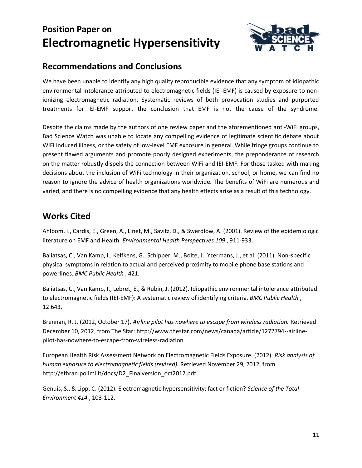

#### **Recommendations and Conclusions**

We have been unable to identify any high quality reproducible evidence that any symptom of idiopathic environmental intolerance attributed to electromagnetic fields (IEI-EMF) is caused by exposure to nonionizing electromagnetic radiation. Systematic reviews of both provocation studies and purported treatments for IEI-EMF support the conclusion that EMF is not the cause of the syndrome.

Despite the claims made by the authors of one review paper and the aforementioned anti-WiFi groups, Bad Science Watch was unable to locate any compelling evidence of legitimate scientific debate about WiFi induced illness, or the safety of low-level EMF exposure in general. While fringe groups continue to present flawed arguments and promote poorly designed experiments, the preponderance of research on the matter robustly dispels the connection between WiFi and IEI-EMF. For those tasked with making decisions about the inclusion of WiFi technology in their organization, school, or home, we can find no reason to ignore the advice of health organizations worldwide. The benefits of WiFi are numerous and varied, and there is no compelling evidence that any health effects arise as a result of this technology.

#### **Works Cited**

Ahlbom, I., Cardis, E., Green, A., Linet, M., Savitz, D., & Swerdlow, A. (2001). Review of the epidemiologic literature on EMF and Health. *Environmental Health Perspectives 109* , 911-933.

Baliatsas, C., Van Kamp, I., Kelfkens, G., Schipper, M., Bolte, J., Yzermans, J., et al. (2011). Non-specific physical symptoms in relation to actual and perceived proximity to mobile phone base stations and powerlines. *BMC Public Health* , 421.

Baliatsas, C., Van Kamp, I., Lebret, E., & Rubin, J. (2012). Idiopathic environmental intolerance attributed to electromagnetic fields (IEI-EMF): A systematic review of identifying criteria. *BMC Public Health* , 12:643.

Brennan, R. J. (2012, October 17). *Airline pilot has nowhere to escape from wireless radiation.* Retrieved December 10, 2012, from The Star: http://www.thestar.com/news/canada/article/1272794--airlinepilot-has-nowhere-to-escape-from-wireless-radiation

European Health Risk Assessment Network on Electromagnetic Fields Exposure. (2012). *Risk analysis of human exposure to electromagnetic fields (revised).* Retrieved November 29, 2012, from http://efhran.polimi.it/docs/D2\_Finalversion\_oct2012.pdf

Genuis, S., & Lipp, C. (2012). Electromagnetic hypersensitivity: fact or fiction? *Science of the Total Environment 414* , 103-112.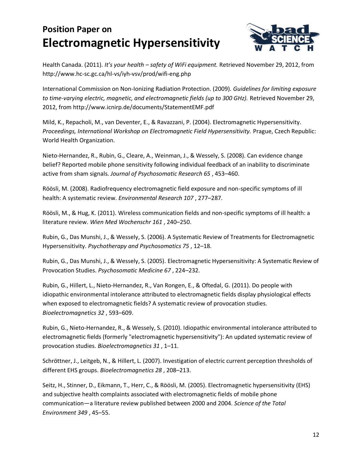

Health Canada. (2011). *It's your health – safety of WiFi equipment.* Retrieved November 29, 2012, from http://www.hc-sc.gc.ca/hl-vs/iyh-vsv/prod/wifi-eng.php

International Commission on Non-Ionizing Radiation Protection. (2009). *Guidelines for limiting exposure to time-varying electric, magnetic, and electromagnetic fields (up to 300 GHz).* Retrieved November 29, 2012, from http://www.icnirp.de/documents/StatementEMF.pdf

Mild, K., Repacholi, M., van Deventer, E., & Ravazzani, P. (2004). Electromagnetic Hypersensitivity. *Proceedings, International Workshop on Electromagnetic Field Hypersensitivity.* Prague, Czech Republic: World Health Organization.

Nieto-Hernandez, R., Rubin, G., Cleare, A., Weinman, J., & Wessely, S. (2008). Can evidence change belief? Reported mobile phone sensitivity following individual feedback of an inability to discriminate active from sham signals. *Journal of Psychosomatic Research 65* , 453–460.

Röösli, M. (2008). Radiofrequency electromagnetic field exposure and non-specific symptoms of ill health: A systematic review. *Environmental Research 107* , 277–287.

Röösli, M., & Hug, K. (2011). Wireless communication fields and non-specific symptoms of ill health: a literature review. *Wien Med Wochenschr 161* , 240–250.

Rubin, G., Das Munshi, J., & Wessely, S. (2006). A Systematic Review of Treatments for Electromagnetic Hypersensitivity. *Psychotherapy and Psychosomatics 75* , 12–18.

Rubin, G., Das Munshi, J., & Wessely, S. (2005). Electromagnetic Hypersensitivity: A Systematic Review of Provocation Studies. *Psychosomatic Medicine 67* , 224–232.

Rubin, G., Hillert, L., Nieto-Hernandez, R., Van Rongen, E., & Oftedal, G. (2011). Do people with idiopathic environmental intolerance attributed to electromagnetic fields display physiological effects when exposed to electromagnetic fields? A systematic review of provocation studies. *Bioelectromagnetics 32* , 593–609.

Rubin, G., Nieto-Hernandez, R., & Wessely, S. (2010). Idiopathic environmental intolerance attributed to electromagnetic fields (formerly "electromagnetic hypersensitivity"): An updated systematic review of provocation studies. *Bioelectromagnetics 31* , 1–11.

Schröttner, J., Leitgeb, N., & Hillert, L. (2007). Investigation of electric current perception thresholds of different EHS groups. *Bioelectromagnetics 28* , 208–213.

Seitz, H., Stinner, D., Eikmann, T., Herr, C., & Röösli, M. (2005). Electromagnetic hypersensitivity (EHS) and subjective health complaints associated with electromagnetic fields of mobile phone communication—a literature review published between 2000 and 2004. *Science of the Total Environment 349* , 45–55.